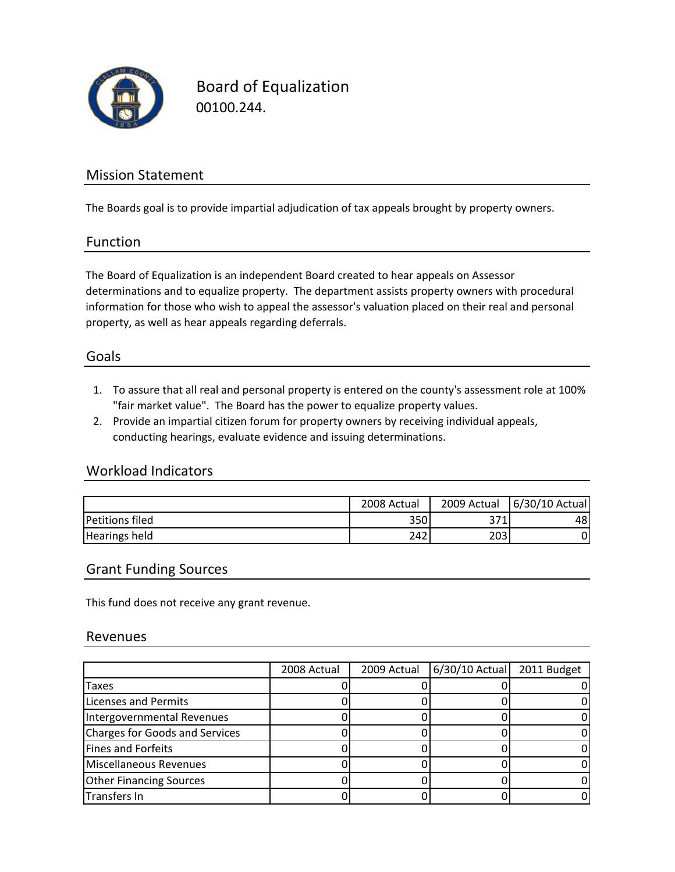

Board of Equalization 00100.244.

### Mission Statement

The Boards goal is to provide impartial adjudication of tax appeals brought by property owners.

#### Function

The Board of Equalization is an independent Board created to hear appeals on Assessor determinations and to equalize property. The department assists property owners with procedural information for those who wish to appeal the assessor's valuation placed on their real and personal property, as well as hear appeals regarding deferrals.

#### Goals

- 1. To assure that all real and personal property is entered on the county's assessment role at 100% "fair market value". The Board has the power to equalize property values.
- 2. Provide an impartial citizen forum for property owners by receiving individual appeals, conducting hearings, evaluate evidence and issuing determinations.

### Workload Indicators

|                        | 2008 Actual | 2009 Actual | 6/30/10 Actual |
|------------------------|-------------|-------------|----------------|
| <b>Petitions filed</b> | 350         | 371         | 481            |
| <b>Hearings held</b>   | 242         | 203         |                |

#### Grant Funding Sources

This fund does not receive any grant revenue.

#### Revenues

|                                       | 2008 Actual | 2009 Actual | $6/30/10$ Actual | 2011 Budget |
|---------------------------------------|-------------|-------------|------------------|-------------|
| Taxes                                 |             |             |                  |             |
| <b>Licenses and Permits</b>           |             |             |                  |             |
| Intergovernmental Revenues            |             |             |                  |             |
| <b>Charges for Goods and Services</b> |             |             |                  |             |
| <b>Fines and Forfeits</b>             |             |             |                  |             |
| Miscellaneous Revenues                |             |             |                  |             |
| <b>Other Financing Sources</b>        |             |             |                  |             |
| Transfers In                          |             |             |                  |             |